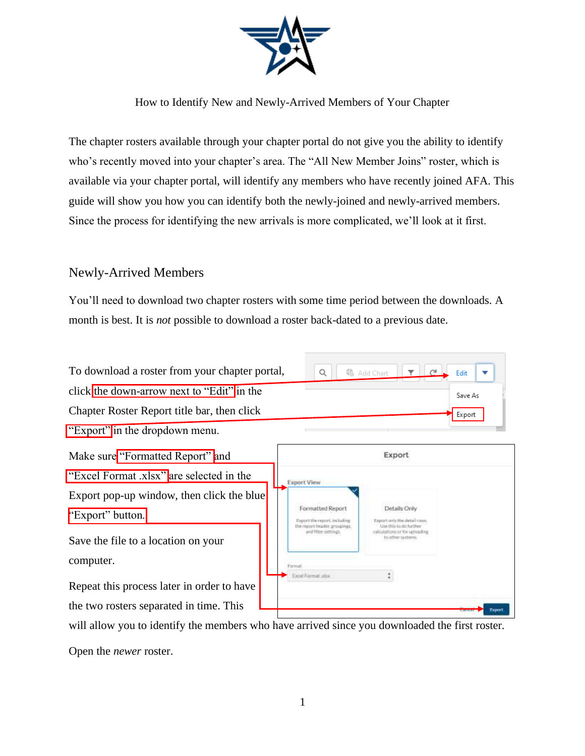

How to Identify New and Newly-Arrived Members of Your Chapter

The chapter rosters available through your chapter portal do not give you the ability to identify who's recently moved into your chapter's area. The "All New Member Joins" roster, which is available via your chapter portal, will identify any members who have recently joined AFA. This guide will show you how you can identify both the newly-joined and newly-arrived members. Since the process for identifying the new arrivals is more complicated, we'll look at it first.

## Newly-Arrived Members

You'll need to download two chapter rosters with some time period between the downloads. A month is best. It is *not* possible to download a roster back-dated to a previous date.

| To download a roster from your chapter portal, | $Q$ $Q$ $Q$ $\rightarrow$ Edit $\rightarrow$ |         |
|------------------------------------------------|----------------------------------------------|---------|
| click the down-arrow next to "Edit" in the     |                                              | Save As |
| Chapter Roster Report title bar, then click    |                                              | Export  |
| "Export" in the dropdown menu.                 |                                              |         |

Make sure "Formatted Report" and

"Excel Format .xlsx" are selected in the

Export pop-up window, then click the blue "Export" button.

Save the file to a location on your computer.

Repeat this process later in order to have the two rosters separated in time. This

| Formatted Report<br>Export the report, including<br>the report header, groupings: | Details Only                                                                                                                        |
|-----------------------------------------------------------------------------------|-------------------------------------------------------------------------------------------------------------------------------------|
|                                                                                   |                                                                                                                                     |
| and filter settings.                                                              | Export only finished air tawa.<br>Use this to do further<br>calculations or for uploading<br>to other nystems.<br><b>CONTRACTOR</b> |
| Flatmatt                                                                          |                                                                                                                                     |

will allow you to identify the members who have arrived since you downloaded the first roster.

Open the *newer* roster.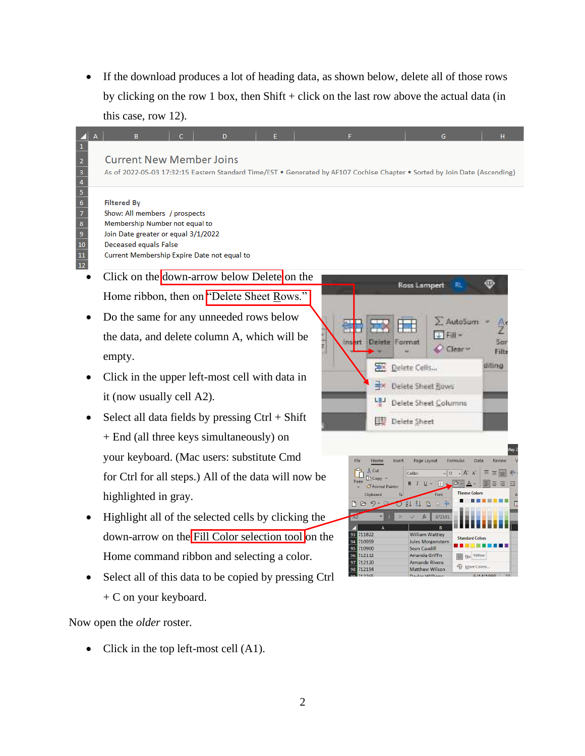If the download produces a lot of heading data, as shown below, delete all of those rows by clicking on the row 1 box, then  $Shift + click$  on the last row above the actual data (in this case, row 12).

### **Current New Member Joins**

As of 2022-05-03 17:32:15 Eastern Standard Time/EST . Generated by AF107 Cochise Chapter . Sorted by Join Date (Ascending)

### **Filtered By**

 $\begin{array}{r} 2 \\ 3 \\ 4 \\ 5 \\ \hline 6 \\ 7 \\ 8 \\ 9 \\ 10 \\ 11 \\ 12 \\ \end{array}$ 

Show: All members / prospects Membership Number not equal to Join Date greater or equal 3/1/2022 Deceased equals False Current Membership Expire Date not equal to

- Click on the down-arrow below Delete on the Home ribbon, then on "Delete Sheet Rows."
- Do the same for any unneeded rows below the data, and delete column A, which will be empty.
- Click in the upper left-most cell with data in it (now usually cell A2).
- Select all data fields by pressing  $Ctrl + Shift$ + End (all three keys simultaneously) on your keyboard. (Mac users: substitute Cmd for Ctrl for all steps.) All of the data will now be highlighted in gray.
- Highlight all of the selected cells by clicking the down-arrow on the Fill Color selection tool on the Home command ribbon and selecting a color.
- Select all of this data to be copied by pressing Ctrl + C on your keyboard.

Now open the *older* roster.

• Click in the top left-most cell (A1).



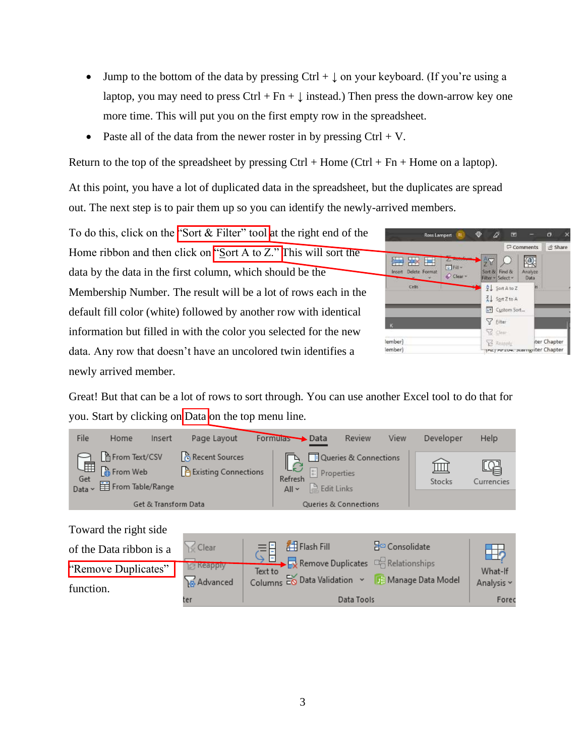- Jump to the bottom of the data by pressing Ctrl +  $\downarrow$  on your keyboard. (If you're using a laptop, you may need to press Ctrl + Fn +  $\downarrow$  instead.) Then press the down-arrow key one more time. This will put you on the first empty row in the spreadsheet.
- Paste all of the data from the newer roster in by pressing  $Ctrl + V$ .

Return to the top of the spreadsheet by pressing  $Ctrl + Home (Ctrl + Fn + Home$  on a laptop).

At this point, you have a lot of duplicated data in the spreadsheet, but the duplicates are spread out. The next step is to pair them up so you can identify the newly-arrived members.

To do this, click on the "Sort  $&$  Filter" tool at the right end of the Home ribbon and then click on "Sort A to Z." This will sort the data by the data in the first column, which should be the Membership Number. The result will be a lot of rows each in the default fill color (white) followed by another row with identical information but filled in with the color you selected for the new data. Any row that doesn't have an uncolored twin identifies a newly arrived member.

| <b>Rt</b><br>Ross Lampert                                       | $\circledcirc$<br>ō<br>踾                               |
|-----------------------------------------------------------------|--------------------------------------------------------|
|                                                                 | in Share<br><b>D</b> Comments                          |
| HХ<br><b>COMMUNIC</b><br>臣<br>↓Fill-<br>Delete Format<br>Insert | $\frac{\lambda}{2}$<br>Analyze<br>Sort & Find &        |
| $O$ Clear<br>Cells                                              | Filter v Select v<br>Data<br>k                         |
|                                                                 | $\frac{A}{Z}$ Soit A to Z<br>$\frac{7}{4}$ Sort Z to A |
|                                                                 | 4+ Custom Sort                                         |
| K                                                               | Y Eiter                                                |
|                                                                 | C Clear                                                |
| lember)                                                         | ter Chapter<br>Vinnais Ry                              |
| lember)                                                         | they recove, avaring iter Chapter                      |

Great! But that can be a lot of rows to sort through. You can use another Excel tool to do that for you. Start by clicking on Data on the top menu line.

| File                  | Home                                                                 | Insert               | Page Layout                                     | Formulas Data      |                                                           | Review                | View | Developer | Help       |
|-----------------------|----------------------------------------------------------------------|----------------------|-------------------------------------------------|--------------------|-----------------------------------------------------------|-----------------------|------|-----------|------------|
| ……<br>Get<br>Data ~ ~ | From Text/CSV<br>$\frac{1}{2}$ From Web<br><b>目</b> From Table/Range |                      | Recent Sources<br><b>P</b> Existing Connections | Refresh<br>$All -$ | $\boxed{\frac{a}{b}}$ Properties<br><b>B</b> , Edit Links | Queries & Connections |      | Stocks    | Currencies |
|                       |                                                                      | Get & Transform Data |                                                 |                    |                                                           | Queries & Connections |      |           |            |

## Toward the right side

| of the Data ribbon is a          | 1≤ Clear                      | Flash Fill                                                                                                           | $\frac{B_{\Box}}{B}$ Consolidate |                       |
|----------------------------------|-------------------------------|----------------------------------------------------------------------------------------------------------------------|----------------------------------|-----------------------|
| "Remove Duplicates"<br>function. | <b>Reapply</b><br>as Advanced | $\overrightarrow{E}$ Remove Duplicates $\overrightarrow{E}$ Relationships<br>Text to<br>Columns Eo Data Validation v | Manage Data Model                | What-If<br>Analysis ~ |
|                                  | ter                           | Data Tools                                                                                                           |                                  | Forec                 |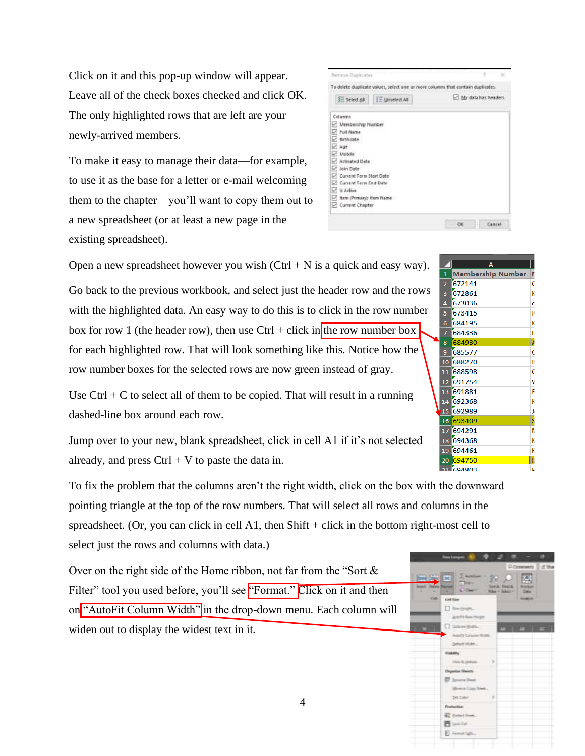Click on it and this pop-up window will appear. Leave all of the check boxes checked and click OK. The only highlighted rows that are left are your newly-arrived members.

To make it easy to manage their data—for example, to use it as the base for a letter or e-mail welcoming them to the chapter—you'll want to copy them out to a new spreadsheet (or at least a new page in the existing spreadsheet).

| Remove Duplicates                        |                                                                                 |
|------------------------------------------|---------------------------------------------------------------------------------|
|                                          | To delete duplicate values, select one or more columns that contain duplicates. |
| SE Select All<br><b>IE Universit AV</b>  | My data has headers                                                             |
| Columns                                  |                                                                                 |
| Membership Number<br>w                   |                                                                                 |
| Full Name<br>◡                           |                                                                                 |
| Birthdate                                |                                                                                 |
| ◡<br>Age                                 |                                                                                 |
| Mobile<br>₽                              |                                                                                 |
| Activated Data                           |                                                                                 |
| Join Date<br>w                           |                                                                                 |
| <b>Current Term Start Date</b><br>$\sim$ |                                                                                 |
| Current Term End Date<br>v               |                                                                                 |
| v<br><b>Is Active</b>                    |                                                                                 |
|                                          |                                                                                 |
| Item (Primary's Item Name                |                                                                                 |

Open a new spreadsheet however you wish  $(Ctrl + N$  is a quick and easy way).

Go back to the previous workbook, and select just the header row and the rows with the highlighted data. An easy way to do this is to click in the row number box for row 1 (the header row), then use Ctrl + click in the row number box for each highlighted row. That will look something like this. Notice how the row number boxes for the selected rows are now green instead of gray.

Use  $Ctrl + C$  to select all of them to be copied. That will result in a running dashed-line box around each row.

Jump over to your new, blank spreadsheet, click in cell A1 if it's not selected already, and press  $Ctrl + V$  to paste the data in.

To fix the problem that the columns aren't the right width, click on the box with the downward pointing triangle at the top of the row numbers. That will select all rows and columns in the spreadsheet. (Or, you can click in cell A1, then Shift + click in the bottom right-most cell to select just the rows and columns with data.)

Over on the right side of the Home ribbon, not far from the "Sort & Filter" tool you used before, you'll see "Format." Click on it and then on "AutoFit Column Width" in the drop-down menu. Each column will widen out to display the widest text in it.



| $\mathbf{1}$   | <b>Membership Number</b> | F |
|----------------|--------------------------|---|
| $\overline{2}$ | 672141                   | G |
| 3              | 672861                   | к |
| 4              | 673036                   | c |
| 5              | 673415                   | R |
| 6              | 684195                   | K |
| 7              | 684336                   | F |
| 8              | 684930                   | A |
| 9              | 685577                   | Ć |
| 10             | 688270                   | B |
| 11             | 688598                   | Ġ |
| 12             | 691754                   | ٧ |
| 13             | 691881                   | Ë |
| 14             | 692368                   | K |
| 15             | 692989                   | л |
| 16             | 693409                   | S |
| 17             | 694291                   | N |
| 18             | 694368                   | K |
| 19             | 694461                   | ĸ |
| 20             | 694750                   | k |
| 51.            | COADOO                   | г |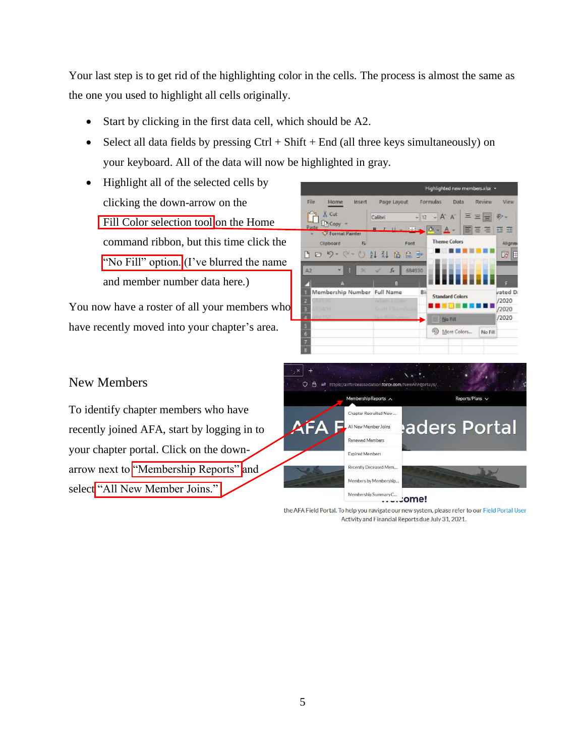Your last step is to get rid of the highlighting color in the cells. The process is almost the same as the one you used to highlight all cells originally.

- Start by clicking in the first data cell, which should be A2.
- Select all data fields by pressing  $Ctrl + Shift + End$  (all three keys simultaneously) on your keyboard. All of the data will now be highlighted in gray.
- Highlight all of the selected cells by clicking the down-arrow on the Fill Color selection tool on the Home command ribbon, but this time click the "No Fill" option.  $($ I've blurred the name and member number data here.)

You now have a roster of all your members who have recently moved into your chapter's area.



# New Members

To identify chapter members who have recently joined AFA, start by logging in to your chapter portal. Click on the downarrow next to "Membership Reports" and select "All New Member Joins."



#### ......ome!

the AFA Field Portal. To help you navigate our new system, please refer to our Field Portal User Activity and Financial Reports due July 31, 2021.